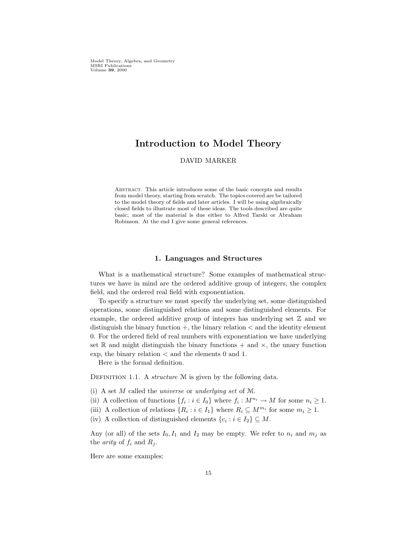Model Theory, Algebra, and Geometry MSRI Publications Volume 39, 2000

# Introduction to Model Theory

# DAVID MARKER

Abstract. This article introduces some of the basic concepts and results from model theory, starting from scratch. The topics covered are be tailored to the model theory of fields and later articles. I will be using algebraically closed fields to illustrate most of these ideas. The tools described are quite basic; most of the material is due either to Alfred Tarski or Abraham Robinson. At the end I give some general references.

### 1. Languages and Structures

What is a mathematical structure? Some examples of mathematical structures we have in mind are the ordered additive group of integers, the complex field, and the ordered real field with exponentiation.

To specify a structure we must specify the underlying set, some distinguished operations, some distinguished relations and some distinguished elements. For example, the ordered additive group of integers has underlying set  $\mathbb Z$  and we distinguish the binary function  $+$ , the binary relation  $<$  and the identity element 0. For the ordered field of real numbers with exponentiation we have underlying set R and might distinguish the binary functions  $+$  and  $\times$ , the unary function exp, the binary relation  $\lt$  and the elements 0 and 1.

Here is the formal definition.

DEFINITION 1.1. A structure  $M$  is given by the following data.

- (i) A set M called the universe or underlying set of M.
- (ii) A collection of functions  $\{f_i : i \in I_0\}$  where  $f_i : M^{n_i} \to M$  for some  $n_i \geq 1$ .
- (iii) A collection of relations  $\{R_i : i \in I_1\}$  where  $R_i \subseteq M^{m_i}$  for some  $m_i \geq 1$ .
- (iv) A collection of distinguished elements  $\{c_i : i \in I_2\} \subseteq M$ .

Any (or all) of the sets  $I_0, I_1$  and  $I_2$  may be empty. We refer to  $n_i$  and  $m_j$  as the *arity* of  $f_i$  and  $R_j$ .

Here are some examples: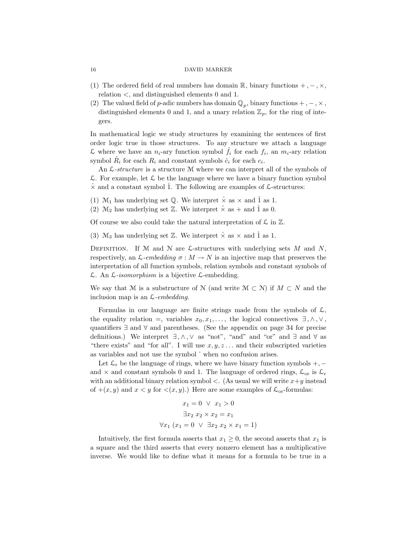- (1) The ordered field of real numbers has domain  $\mathbb{R}$ , binary functions  $+$ ,  $-$ ,  $\times$ , relation <, and distinguished elements 0 and 1.
- (2) The valued field of p-adic numbers has domain  $\mathbb{Q}_p$ , binary functions  $+$ ,  $-$ ,  $\times$ , distinguished elements 0 and 1, and a unary relation  $\mathbb{Z}_p$ , for the ring of integers.

In mathematical logic we study structures by examining the sentences of first order logic true in those structures. To any structure we attach a language L where we have an  $n_i$ -ary function symbol  $\hat{f}_i$  for each  $f_i$ , an  $m_i$ -ary relation symbol  $\hat{R}_i$  for each  $R_i$  and constant symbols  $\hat{c}_i$  for each  $c_i$ .

An  $\mathcal{L}\text{-}structure$  is a structure M where we can interpret all of the symbols of  $\mathcal L$ . For example, let  $\mathcal L$  be the language where we have a binary function symbol  $\hat{\chi}$  and a constant symbol  $\hat{1}$ . The following are examples of  $\hat{\mathcal{L}}$ -structures:

- (1)  $\mathcal{M}_1$  has underlying set Q. We interpret  $\hat{\times}$  as  $\times$  and  $\hat{1}$  as 1.
- (2)  $\mathcal{M}_2$  has underlying set  $\mathbb{Z}$ . We interpret  $\hat{\times}$  as  $+$  and  $\hat{1}$  as 0.

Of course we also could take the natural interpretation of  $\mathcal L$  in  $\mathbb Z$ .

(3) M<sub>3</sub> has underlying set  $\mathbb{Z}$ . We interpret  $\hat{\times}$  as  $\times$  and  $\hat{1}$  as 1.

DEFINITION. If M and N are  $\mathcal{L}\text{-structures with underlying sets }M\text{ and }N,$ respectively, an  $\mathcal{L}\text{-}embedding \sigma : M \to N$  is an injective map that preserves the interpretation of all function symbols, relation symbols and constant symbols of  $\mathcal{L}$ . An  $\mathcal{L}$ -isomorphism is a bijective  $\mathcal{L}$ -embedding.

We say that M is a substructure of N (and write  $M \subset N$ ) if  $M \subset N$  and the inclusion map is an  $\mathcal{L}\text{-}embedding.$ 

Formulas in our language are finite strings made from the symbols of  $\mathcal{L}$ , the equality relation =, variables  $x_0, x_1, \ldots$ , the logical connectives  $\exists, \wedge, \vee,$ quantifiers ∃ and ∀ and parentheses. (See the appendix on page 34 for precise definitions.) We interpret  $\exists, \wedge, \vee$  as "not", "and" and "or" and  $\exists$  and  $\forall$  as "there exists" and "for all". I will use  $x, y, z \dots$  and their subscripted varieties as variables and not use the symbol ˆ when no confusion arises.

Let  $\mathcal{L}_r$  be the language of rings, where we have binary function symbols +, − and  $\times$  and constant symbols 0 and 1. The language of ordered rings,  $\mathcal{L}_{\text{or}}$  is  $\mathcal{L}_{\text{r}}$ with an additional binary relation symbol  $\lt$ . (As usual we will write  $x+y$  instead of  $+(x, y)$  and  $x < y$  for  $\langle (x, y) \rangle$ . Here are some examples of  $\mathcal{L}_{\text{or}}$ -formulas:

$$
x_1 = 0 \quad \lor \quad x_1 > 0
$$
\n
$$
\exists x_2 \ x_2 \times x_2 = x_1
$$
\n
$$
\forall x_1 \ (x_1 = 0 \ \lor \ \exists x_2 \ x_2 \times x_1 = 1)
$$

Intuitively, the first formula asserts that  $x_1 \geq 0$ , the second asserts that  $x_1$  is a square and the third asserts that every nonzero element has a multiplicative inverse. We would like to define what it means for a formula to be true in a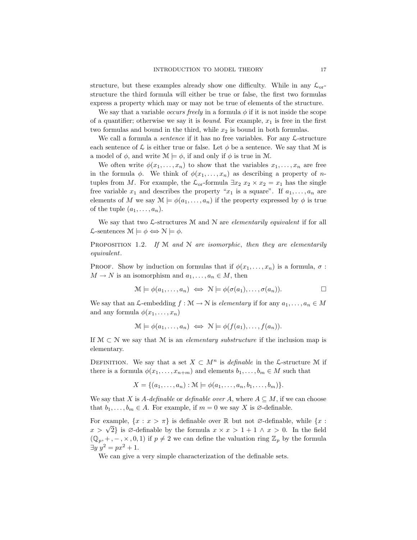structure, but these examples already show one difficulty. While in any  $\mathcal{L}_{\text{or}}$ structure the third formula will either be true or false, the first two formulas express a property which may or may not be true of elements of the structure.

We say that a variable *occurs freely* in a formula  $\phi$  if it is not inside the scope of a quantifier; otherwise we say it is *bound*. For example,  $x_1$  is free in the first two formulas and bound in the third, while  $x_2$  is bound in both formulas.

We call a formula a *sentence* if it has no free variables. For any  $\mathcal{L}\text{-structure}$ each sentence of L is either true or false. Let  $\phi$  be a sentence. We say that M is a model of  $\phi$ , and write  $\mathcal{M} \models \phi$ , if and only if  $\phi$  is true in M.

We often write  $\phi(x_1, \ldots, x_n)$  to show that the variables  $x_1, \ldots, x_n$  are free in the formula  $\phi$ . We think of  $\phi(x_1, \ldots, x_n)$  as describing a property of *n*tuples from M. For example, the  $\mathcal{L}_{or}$ -formula  $\exists x_2 \ x_2 \times x_2 = x_1$  has the single free variable  $x_1$  and describes the property " $x_1$  is a square". If  $a_1, \ldots, a_n$  are elements of M we say  $\mathcal{M} \models \phi(a_1, \ldots, a_n)$  if the property expressed by  $\phi$  is true of the tuple  $(a_1, \ldots, a_n)$ .

We say that two  $\mathcal{L}\text{-structures } \mathcal{M}$  and  $\mathcal{N}$  are *elementarily equivalent* if for all L-sentences  $\mathcal{M} \models \phi \Leftrightarrow \mathcal{N} \models \phi$ .

PROPOSITION 1.2. If  $M$  and  $N$  are isomorphic, then they are elementarily equivalent.

PROOF. Show by induction on formulas that if  $\phi(x_1, \ldots, x_n)$  is a formula,  $\sigma$ :  $M \to N$  is an isomorphism and  $a_1, \ldots, a_n \in M$ , then

$$
\mathcal{M} \models \phi(a_1, \dots, a_n) \iff \mathcal{N} \models \phi(\sigma(a_1), \dots, \sigma(a_n)). \square
$$

We say that an L-embedding  $f : \mathcal{M} \to \mathcal{N}$  is *elementary* if for any  $a_1, \ldots, a_n \in M$ and any formula  $\phi(x_1, \ldots, x_n)$ 

$$
\mathcal{M} \models \phi(a_1, \dots, a_n) \iff \mathcal{N} \models \phi(f(a_1), \dots, f(a_n)).
$$

If  $\mathcal{M} \subset \mathcal{N}$  we say that M is an *elementary substructure* if the inclusion map is elementary.

DEFINITION. We say that a set  $X \subset M^n$  is *definable* in the L-structure M if there is a formula  $\phi(x_1, \ldots, x_{n+m})$  and elements  $b_1, \ldots, b_m \in M$  such that

 $X = \{(a_1, \ldots, a_n) : \mathcal{M} \models \phi(a_1, \ldots, a_n, b_1, \ldots, b_m)\}.$ 

We say that X is A-definable or definable over A, where  $A \subseteq M$ , if we can choose that  $b_1, \ldots, b_m \in A$ . For example, if  $m = 0$  we say X is  $\emptyset$ -definable.

For example,  $\{x : x > \pi\}$  is definable over R but not  $\emptyset$ -definable, while  $\{x : x > \pi\}$ For example,  $\{x : x > \pi\}$  is definable over  $\mathbb{K}$  but not  $\emptyset$ -definable, while  $\{x : x > \sqrt{2}\}$  is  $\emptyset$ -definable by the formula  $x \times x > 1 + 1 \land x > 0$ . In the field  $(\mathbb{Q}_p, +, -, \times, 0, 1)$  if  $p \neq 2$  we can define the valuation ring  $\mathbb{Z}_p$  by the formula  $\exists y \; y^2 = px^2 + 1.$ 

We can give a very simple characterization of the definable sets.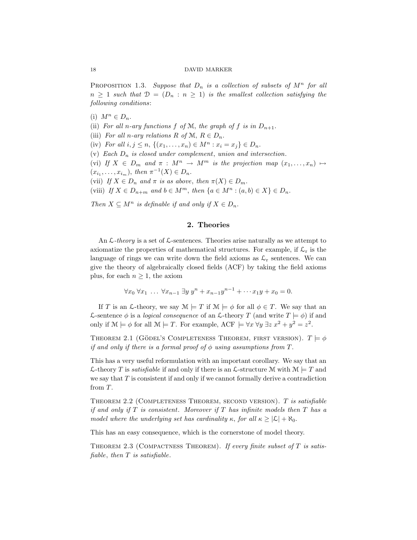PROPOSITION 1.3. Suppose that  $D_n$  is a collection of subsets of  $M^n$  for all  $n \geq 1$  such that  $\mathcal{D} = (D_n : n \geq 1)$  is the smallest collection satisfying the following conditions:

(i)  $M^n \in D_n$ .

(ii) For all n-ary functions  $f$  of  $M$ , the graph of  $f$  is in  $D_{n+1}$ .

(iii) For all n-ary relations R of M,  $R \in D_n$ .

(iv) For all  $i, j \leq n$ ,  $\{(x_1, \ldots, x_n) \in M^n : x_i = x_j\} \in D_n$ .

(v) Each  $D_n$  is closed under complement, union and intersection.

(vi) If  $X \in D_m$  and  $\pi : M^n \to M^m$  is the projection map  $(x_1, \ldots, x_n) \mapsto$  $(x_{i_1},...,x_{i_m}),$  then  $\pi^{-1}(X) \in D_n$ .

(vii) If  $X \in D_n$  and  $\pi$  is as above, then  $\pi(X) \in D_m$ .

(viii) If  $X \in D_{n+m}$  and  $b \in M^m$ , then  $\{a \in M^n : (a, b) \in X\} \in D_n$ .

Then  $X \subseteq M^n$  is definable if and only if  $X \in D_n$ .

# 2. Theories

An  $\mathcal{L}\text{-}theory$  is a set of  $\mathcal{L}\text{-}sentences$ . Theories arise naturally as we attempt to axiomatize the properties of mathematical structures. For example, if  $\mathcal{L}_{r}$  is the language of rings we can write down the field axioms as  $\mathcal{L}_{r}$  sentences. We can give the theory of algebraically closed fields (ACF) by taking the field axioms plus, for each  $n \geq 1$ , the axiom

$$
\forall x_0 \ \forall x_1 \ \dots \ \forall x_{n-1} \ \exists y \ y^n + x_{n-1} y^{n-1} + \dots + x_1 y + x_0 = 0.
$$

If T is an L-theory, we say  $\mathcal{M} \models T$  if  $\mathcal{M} \models \phi$  for all  $\phi \in T$ . We say that an L-sentence  $\phi$  is a *logical consequence* of an L-theory T (and write  $T \models \phi$ ) if and only if  $\mathcal{M} \models \phi$  for all  $\mathcal{M} \models T$ . For example, ACF  $\models \forall x \; \forall y \; \exists z \; x^2 + y^2 = z^2$ .

THEOREM 2.1 (GÖDEL'S COMPLETENESS THEOREM, FIRST VERSION).  $T \models \phi$ if and only if there is a formal proof of  $\phi$  using assumptions from T.

This has a very useful reformulation with an important corollary. We say that an L-theory T is satisfiable if and only if there is an L-structure M with  $\mathcal{M} \models T$  and we say that  $T$  is consistent if and only if we cannot formally derive a contradiction from T.

THEOREM 2.2 (COMPLETENESS THEOREM, SECOND VERSION). T is satisfiable if and only if  $T$  is consistent. Moreover if  $T$  has infinite models then  $T$  has a model where the underlying set has cardinality  $\kappa$ , for all  $\kappa \geq |\mathcal{L}| + \aleph_0$ .

This has an easy consequence, which is the cornerstone of model theory.

THEOREM 2.3 (COMPACTNESS THEOREM). If every finite subset of  $T$  is satisfiable, then  $T$  is satisfiable.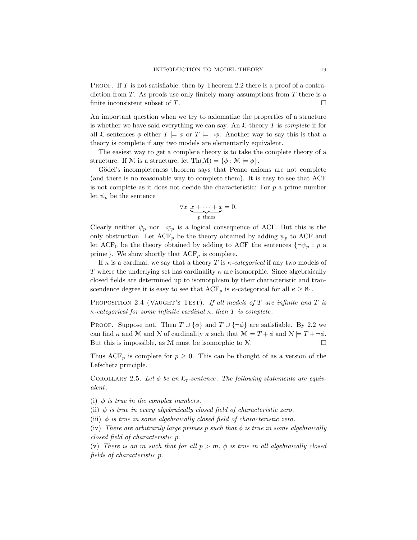PROOF. If  $T$  is not satisfiable, then by Theorem 2.2 there is a proof of a contradiction from  $T$ . As proofs use only finitely many assumptions from  $T$  there is a finite inconsistent subset of  $T$ .

An important question when we try to axiomatize the properties of a structure is whether we have said everything we can say. An  $\mathcal{L}\text{-theory }T$  is *complete* if for all L-sentences  $\phi$  either  $T \models \phi$  or  $T \models \neg \phi$ . Another way to say this is that a theory is complete if any two models are elementarily equivalent.

The easiest way to get a complete theory is to take the complete theory of a structure. If M is a structure, let  $\text{Th}(\mathcal{M}) = \{\phi : \mathcal{M} \models \phi\}.$ 

Gödel's incompleteness theorem says that Peano axioms are not complete (and there is no reasonable way to complete them). It is easy to see that ACF is not complete as it does not decide the characteristic: For  $p$  a prime number let  $\psi_p$  be the sentence

$$
\forall x \ \underbrace{x + \dots + x}_{p \ \text{times}} = 0.
$$

Clearly neither  $\psi_p$  nor  $\neg \psi_p$  is a logical consequence of ACF. But this is the only obstruction. Let  $ACF_p$  be the theory obtained by adding  $\psi_p$  to ACF and let ACF<sub>0</sub> be the theory obtained by adding to ACF the sentences  $\{\neg \psi_p : p \neq 0\}$ prime }. We show shortly that  $\text{ACF}_p$  is complete.

If  $\kappa$  is a cardinal, we say that a theory T is  $\kappa$ -categorical if any two models of T where the underlying set has cardinality  $\kappa$  are isomorphic. Since algebraically closed fields are determined up to isomorphism by their characteristic and transcendence degree it is easy to see that  $\text{ACF}_p$  is  $\kappa$ -categorical for all  $\kappa \geq \aleph_1$ .

PROPOSITION 2.4 (VAUGHT'S TEST). If all models of T are infinite and T is  $\kappa$ -categorical for some infinite cardinal  $\kappa$ , then T is complete.

PROOF. Suppose not. Then  $T \cup {\phi}$  and  $T \cup {\neg \phi}$  are satisfiable. By 2.2 we can find  $\kappa$  and M and N of cardinality  $\kappa$  such that  $\mathcal{M} \models T + \phi$  and  $\mathcal{N} \models T + \neg \phi$ . But this is impossible, as M must be isomorphic to  $N$ .

Thus  $ACF_p$  is complete for  $p \geq 0$ . This can be thought of as a version of the Lefschetz principle.

COROLLARY 2.5. Let  $\phi$  be an  $\mathcal{L}_{r}$ -sentence. The following statements are equivalent.

- (i)  $\phi$  is true in the complex numbers.
- (ii)  $\phi$  is true in every algebraically closed field of characteristic zero.
- (iii)  $\phi$  is true in some algebraically closed field of characteristic zero.

(iv) There are arbitrarily large primes p such that  $\phi$  is true in some algebraically closed field of characteristic p.

(v) There is an m such that for all  $p > m$ ,  $\phi$  is true in all algebraically closed fields of characteristic p.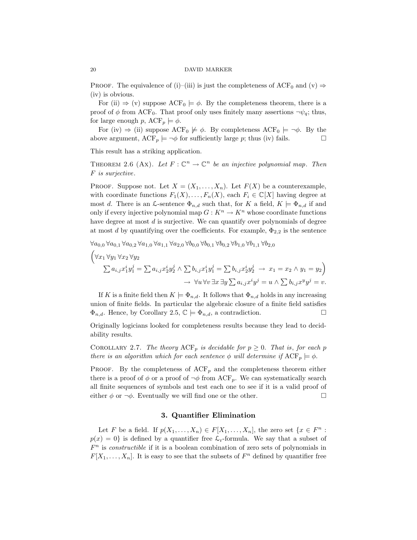PROOF. The equivalence of (i)–(iii) is just the completeness of ACF<sub>0</sub> and (v)  $\Rightarrow$ (iv) is obvious.

For (ii)  $\Rightarrow$  (v) suppose ACF<sub>0</sub>  $\models \phi$ . By the completeness theorem, there is a proof of  $\phi$  from ACF<sub>0</sub>. That proof only uses finitely many assertions  $\neg \psi_q$ ; thus, for large enough p,  $ACF_p \models \phi$ .

For (iv)  $\Rightarrow$  (ii) suppose ACF<sub>0</sub>  $\models \phi$ . By completeness ACF<sub>0</sub>  $\models \neg \phi$ . By the above argument,  $ACF_p \models \neg \phi$  for sufficiently large p; thus (iv) fails.  $\Box$ 

This result has a striking application.

THEOREM 2.6 (Ax). Let  $F: \mathbb{C}^n \to \mathbb{C}^n$  be an injective polynomial map. Then F is surjective.

PROOF. Suppose not. Let  $X = (X_1, \ldots, X_n)$ . Let  $F(X)$  be a counterexample, with coordinate functions  $F_1(X), \ldots, F_n(X)$ , each  $F_i \in \mathbb{C}[X]$  having degree at most d. There is an  $\mathcal{L}\text{-sentence }\Phi_{n,d}$  such that, for K a field,  $K \models \Phi_{n,d}$  if and only if every injective polynomial map  $G: K^n \to K^n$  whose coordinate functions have degree at most d is surjective. We can quantify over polynomials of degree at most d by quantifying over the coefficients. For example,  $\Phi_{2,2}$  is the sentence

$$
\forall a_{0,0} \forall a_{0,1} \forall a_{0,2} \forall a_{1,0} \forall a_{1,1} \forall a_{2,0} \forall b_{0,0} \forall b_{0,1} \forall b_{0,2} \forall b_{1,0} \forall b_{1,1} \forall b_{2,0}
$$
  
\n
$$
\left(\forall x_1 \forall y_1 \forall x_2 \forall y_2
$$
  
\n
$$
\sum a_{i,j} x_1^i y_1^j = \sum a_{i,j} x_2^i y_2^j \land \sum b_{i,j} x_1^i y_1^j = \sum b_{i,j} x_2^i y_2^j \rightarrow x_1 = x_2 \land y_1 = y_2\right)
$$
  
\n
$$
\rightarrow \forall u \forall v \exists x \exists y \sum a_{i,j} x^i y^j = u \land \sum b_{i,j} x^y y^j = v.
$$

If K is a finite field then  $K \models \Phi_{n,d}$ . It follows that  $\Phi_{n,d}$  holds in any increasing union of finite fields. In particular the algebraic closure of a finite field satisfies  $\Phi_{n,d}$ . Hence, by Corollary 2.5,  $\mathbb{C} \models \Phi_{n,d}$ , a contradiction.

Originally logicians looked for completeness results because they lead to decidability results.

COROLLARY 2.7. The theory  $ACF_p$  is decidable for  $p \geq 0$ . That is, for each p there is an algorithm which for each sentence  $\phi$  will determine if  $\text{ACF}_p \models \phi$ .

PROOF. By the completeness of  $ACF_p$  and the completeness theorem either there is a proof of  $\phi$  or a proof of  $\neg \phi$  from ACF<sub>p</sub>. We can systematically search all finite sequences of symbols and test each one to see if it is a valid proof of either  $\phi$  or  $\neg \phi$ . Eventually we will find one or the other.

# 3. Quantifier Elimination

Let F be a field. If  $p(X_1, ..., X_n) \in F[X_1, ..., X_n]$ , the zero set  $\{x \in F^n :$  $p(x) = 0$  is defined by a quantifier free  $\mathcal{L}_{r}$ -formula. We say that a subset of  $F<sup>n</sup>$  is *constructible* if it is a boolean combination of zero sets of polynomials in  $F[X_1, \ldots, X_n]$ . It is easy to see that the subsets of  $F^n$  defined by quantifier free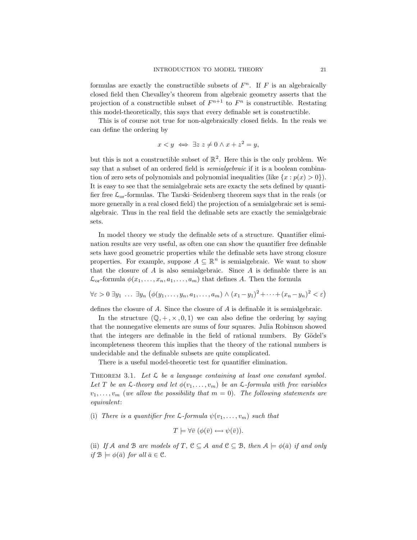formulas are exactly the constructible subsets of  $F<sup>n</sup>$ . If F is an algebraically closed field then Chevalley's theorem from algebraic geometry asserts that the projection of a constructible subset of  $F^{n+1}$  to  $F^n$  is constructible. Restating this model-theoretically, this says that every definable set is constructible.

This is of course not true for non-algebraically closed fields. In the reals we can define the ordering by

$$
x < y \iff \exists z \ z \neq 0 \land x + z^2 = y,
$$

but this is not a constructible subset of  $\mathbb{R}^2$ . Here this is the only problem. We say that a subset of an ordered field is *semialgebraic* if it is a boolean combination of zero sets of polynomials and polynomial inequalities (like  $\{x : p(x) > 0\}$ ). It is easy to see that the semialgebraic sets are exacty the sets defined by quantifier free  $\mathcal{L}_{or}$ -formulas. The Tarski–Seidenberg theorem says that in the reals (or more generally in a real closed field) the projection of a semialgebraic set is semialgebraic. Thus in the real field the definable sets are exactly the semialgebraic sets.

In model theory we study the definable sets of a structure. Quantifier elimination results are very useful, as often one can show the quantifier free definable sets have good geometric properties while the definable sets have strong closure properties. For example, suppose  $A \subseteq \mathbb{R}^n$  is semialgebraic. We want to show that the closure of  $A$  is also semialgebraic. Since  $A$  is definable there is an  $\mathcal{L}_{\text{or}}$ -formula  $\phi(x_1, \ldots, x_n, a_1, \ldots, a_m)$  that defines A. Then the formula

$$
\forall \varepsilon > 0 \ \exists y_1 \ \ldots \ \exists y_n \ \big( \phi(y_1, \ldots, y_n, a_1, \ldots, a_m) \land (x_1 - y_1)^2 + \cdots + (x_n - y_n)^2 < \varepsilon \big)
$$

defines the closure of A. Since the closure of A is definable it is semialgebraic.

In the structure  $(\mathbb{Q}, +, \times, 0, 1)$  we can also define the ordering by saying that the nonnegative elements are sums of four squares. Julia Robinson showed that the integers are definable in the field of rational numbers. By Gödel's incompleteness theorem this implies that the theory of the rational numbers is undecidable and the definable subsets are quite complicated.

There is a useful model-theoretic test for quantifier elimination.

THEOREM 3.1. Let  $\mathcal L$  be a language containing at least one constant symbol. Let T be an  $\mathcal{L}\text{-}theory$  and let  $\phi(v_1,\ldots,v_m)$  be an  $\mathcal{L}\text{-}formula$  with free variables  $v_1, \ldots, v_m$  (we allow the possibility that  $m = 0$ ). The following statements are equivalent:

(i) There is a quantifier free  $\mathcal{L}$ -formula  $\psi(v_1, \ldots, v_m)$  such that

$$
T \models \forall \bar{v} \ (\phi(\bar{v}) \leftrightarrow \psi(\bar{v})).
$$

(ii) If A and B are models of T,  $C \subseteq A$  and  $C \subseteq B$ , then  $A \models \phi(\bar{a})$  if and only if  $\mathcal{B} \models \phi(\bar{a})$  for all  $\bar{a} \in \mathcal{C}$ .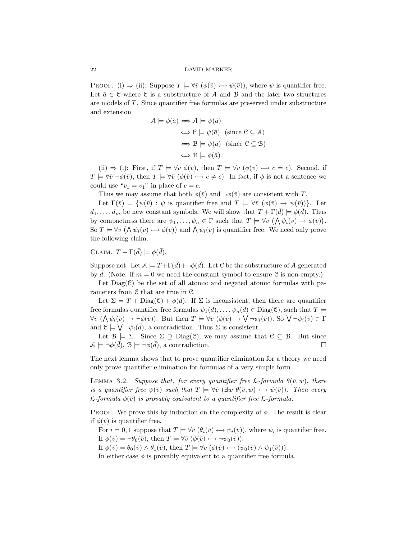PROOF. (i)  $\Rightarrow$  (ii): Suppose  $T \models \forall \bar{v} \ (\phi(\bar{v}) \leftrightarrow \psi(\bar{v}))$ , where  $\psi$  is quantifier free. Let  $\bar{a} \in \mathcal{C}$  where  $\mathcal{C}$  is a substructure of A and B and the later two structures are models of T. Since quantifier free formulas are preserved under substructure and extension

$$
\mathcal{A} \models \phi(\bar{a}) \iff \mathcal{A} \models \psi(\bar{a})
$$
  
\n
$$
\iff \mathcal{C} \models \psi(\bar{a}) \text{ (since } \mathcal{C} \subseteq \mathcal{A})
$$
  
\n
$$
\iff \mathcal{B} \models \psi(\bar{a}) \text{ (since } \mathcal{C} \subseteq \mathcal{B})
$$
  
\n
$$
\iff \mathcal{B} \models \phi(\bar{a}).
$$

(ii)  $\Rightarrow$  (i): First, if  $T \models \forall \overline{v} \; \phi(\overline{v})$ , then  $T \models \forall \overline{v} \; (\phi(\overline{v}) \leftrightarrow c = c)$ . Second, if  $T \models \forall \bar{v} \ \neg \phi(\bar{v}),$  then  $T \models \forall \bar{v} \ (\phi(\bar{v}) \leftrightarrow c \neq c).$  In fact, if  $\phi$  is not a sentence we could use " $v_1 = v_1$ " in place of  $c = c$ .

Thus we may assume that both  $\phi(\bar{v})$  and  $\neg \phi(\bar{v})$  are consistent with T.

Let  $\Gamma(\bar{v}) = {\psi(\bar{v}) : \psi$  is quantifier free and  $T \models \forall \bar{v} \ (\phi(\bar{v}) \rightarrow \psi(\bar{v}))\}.$  Let  $d_1, \ldots, d_m$  be new constant symbols. We will show that  $T + \Gamma(\bar{d}) \models \phi(\bar{d})$ . Thus by compactness there are  $\psi_1, \ldots, \psi_n \in \Gamma$  such that  $T \models \forall \bar{v} \ (\bigwedge \psi_i(\bar{v}) \to \phi(\bar{v}))$ . So  $T \models \forall \bar{v} \; (\bigwedge \psi_i(\bar{v}) \leftrightarrow \phi(\bar{v}))$  and  $\bigwedge \psi_i(\bar{v})$  is quantifier free. We need only prove the following claim.

CLAIM.  $T + \Gamma(\bar{d}) \models \phi(\bar{d}).$ 

Suppose not. Let  $A \models T + \Gamma(\bar{d}) + \neg \phi(\bar{d})$ . Let C be the substructure of A generated by d. (Note: if  $m = 0$  we need the constant symbol to ensure C is non-empty.)

Let  $Diag(\mathcal{C})$  be the set of all atomic and negated atomic formulas with parameters from C that are true in C.

Let  $\Sigma = T + \text{Diag}(\mathcal{C}) + \phi(\bar{d})$ . If  $\Sigma$  is inconsistent, then there are quantifier free formulas quantifier free formulas  $\psi_1(\overline{d}), \ldots, \psi_n(\overline{d}) \in \text{Diag}(\mathcal{C}),$  such that  $T \models$  $\forall \bar{v} \; (\bigwedge \psi_i(\bar{v}) \to \neg \phi(\bar{v}))$ . But then  $T \models \forall \bar{v} \; (\phi(\bar{v}) \to \bigvee \neg \psi_i(\bar{v}))$ . So  $\bigvee \neg \psi_i(\bar{v}) \in \Gamma$ and  $\mathcal{C} \models \bigvee \neg \psi_i(\overline{d})$ , a contradiction. Thus  $\Sigma$  is consistent.

Let  $\mathcal{B} \models \Sigma$ . Since  $\Sigma \supseteq \text{Diag}(\mathcal{C})$ , we may assume that  $\mathcal{C} \subseteq \mathcal{B}$ . But since  $A \models \neg \phi(\overline{d}), B \models \neg \phi(\overline{d}),$  a contradiction.

The next lemma shows that to prove quantifier elimination for a theory we need only prove quantifier elimination for formulas of a very simple form.

LEMMA 3.2. Suppose that, for every quantifier free  $\mathcal{L}$ -formula  $\theta(\bar{v}, w)$ , there is a quantifier free  $\psi(\bar{v})$  such that  $T \models \forall \bar{v} \ (\exists w \ \theta(\bar{v}, w) \leftrightarrow \psi(\bar{v}))$ . Then every  $\mathcal{L}$ -formula  $\phi(\bar{v})$  is provably equivalent to a quantifier free  $\mathcal{L}$ -formula.

PROOF. We prove this by induction on the complexity of  $\phi$ . The result is clear if  $\phi(\bar{v})$  is quantifier free.

For  $i = 0, 1$  suppose that  $T \models \forall \bar{v} \ (\theta_i(\bar{v}) \leftrightarrow \psi_i(\bar{v}))$ , where  $\psi_i$  is quantifier free. If  $\phi(\bar{v}) = \neg \theta_0(\bar{v})$ , then  $T \models \forall \bar{v} \ (\phi(\bar{v}) \leftrightarrow \neg \psi_0(\bar{v}))$ .

If  $\phi(\bar{v}) = \theta_0(\bar{v}) \wedge \theta_1(\bar{v})$ , then  $T \models \forall v \ (\phi(\bar{v}) \leftrightarrow (\psi_0(\bar{v}) \wedge \psi_1(\bar{v}))).$ 

In either case  $\phi$  is provably equivalent to a quantifier free formula.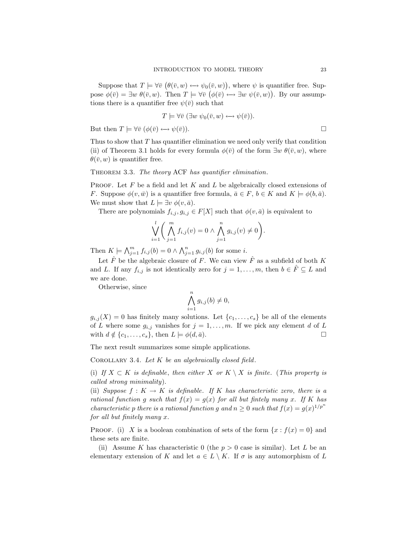Suppose that  $T \models \forall \overline{v} \ (\theta(\overline{v}, w) \leftrightarrow \psi_0(\overline{v}, w))$ , where  $\psi$  is quantifier free. Suppose  $\phi(\bar{v}) = \exists w \; \theta(\bar{v}, w)$ . Then  $T \models \forall \bar{v} \; (\phi(\bar{v}) \leftrightarrow \exists w \; \psi(\bar{v}, w))$ . By our assumptions there is a quantifier free  $\psi(\bar{v})$  such that

$$
T \models \forall \bar{v} \ (\exists w \ \psi_0(\bar{v}, w) \longleftrightarrow \psi(\bar{v})).
$$

But then  $T \models \forall \bar{v} \ (\phi(\bar{v}) \leftrightarrow \psi(\bar{v}))$ .

Thus to show that  $T$  has quantifier elimination we need only verify that condition (ii) of Theorem 3.1 holds for every formula  $\phi(\bar{v})$  of the form  $\exists w \theta(\bar{v}, w)$ , where  $\theta(\bar{v}, w)$  is quantifier free.

THEOREM 3.3. The theory ACF has quantifier elimination.

**PROOF.** Let F be a field and let K and L be algebraically closed extensions of F. Suppose  $\phi(v,\bar{w})$  is a quantifier free formula,  $\bar{a} \in F$ ,  $b \in K$  and  $K \models \phi(b,\bar{a})$ . We must show that  $L \models \exists v \phi(v, \bar{a})$ .

There are polynomials  $f_{i,j}, g_{i,j} \in F[X]$  such that  $\phi(v, \bar{a})$  is equivalent to

$$
\bigvee_{i=1}^{l} \left( \bigwedge_{j=1}^{m} f_{i,j}(v) = 0 \wedge \bigwedge_{j=1}^{n} g_{i,j}(v) \neq 0 \right).
$$

Then  $K \models \bigwedge_{j=1}^m f_{i,j}(b) = 0 \wedge \bigwedge_{j=1}^n g_{i,j}(b)$  for some *i*.

Let  $\hat{F}$  be the algebraic closure of F. We can view  $\hat{F}$  as a subfield of both K and L. If any  $f_{i,j}$  is not identically zero for  $j = 1, \ldots, m$ , then  $b \in \hat{F} \subseteq L$  and we are done.

Otherwise, since

$$
\bigwedge_{i=1}^{n} g_{i,j}(b) \neq 0,
$$

 $g_{i,j}(X) = 0$  has finitely many solutions. Let  $\{c_1, \ldots, c_s\}$  be all of the elements of L where some  $g_{i,j}$  vanishes for  $j = 1, \ldots, m$ . If we pick any element d of L with  $d \notin \{c_1, \ldots, c_s\}$ , then  $L \models \phi(d, \bar{a})$ .

The next result summarizes some simple applications.

COROLLARY 3.4. Let  $K$  be an algebraically closed field.

(i) If  $X \subset K$  is definable, then either X or  $K \setminus X$  is finite. (This property is called strong minimality).

(ii) Suppose  $f: K \to K$  is definable. If K has characteristic zero, there is a rational function g such that  $f(x) = g(x)$  for all but finitely many x. If K has characteristic p there is a rational function g and  $n \geq 0$  such that  $f(x) = g(x)^{1/p^n}$ for all but finitely many x.

PROOF. (i) X is a boolean combination of sets of the form  $\{x : f(x) = 0\}$  and these sets are finite.

(ii) Assume K has characteristic 0 (the  $p > 0$  case is similar). Let L be an elementary extension of K and let  $a \in L \setminus K$ . If  $\sigma$  is any automorphism of L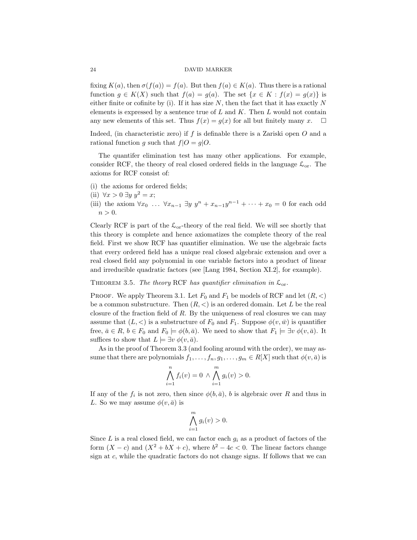fixing  $K(a)$ , then  $\sigma(f(a)) = f(a)$ . But then  $f(a) \in K(a)$ . Thus there is a rational function  $g \in K(X)$  such that  $f(a) = g(a)$ . The set  $\{x \in K : f(x) = g(x)\}\$ is either finite or cofinite by (i). If it has size  $N$ , then the fact that it has exactly  $N$ elements is expressed by a sentence true of  $L$  and  $K$ . Then  $L$  would not contain any new elements of this set. Thus  $f(x) = g(x)$  for all but finitely many x.  $\square$ Indeed, (in characteristic zero) if  $f$  is definable there is a Zariski open  $O$  and a rational function g such that  $f|O = g|O$ .

The quantifer elimination test has many other applications. For example, consider RCF, the theory of real closed ordered fields in the language  $\mathcal{L}_{or}$ . The axioms for RCF consist of:

- (i) the axioms for ordered fields;
- (ii)  $\forall x > 0 \ \exists y \ y^2 = x;$
- (iii) the axiom  $\forall x_0 \dots \forall x_{n-1} \exists y \ y^n + x_{n-1}y^{n-1} + \dots + x_0 = 0$  for each odd  $n > 0$ .

Clearly RCF is part of the  $\mathcal{L}_{or}$ -theory of the real field. We will see shortly that this theory is complete and hence axiomatizes the complete theory of the real field. First we show RCF has quantifier elimination. We use the algebraic facts that every ordered field has a unique real closed algebraic extension and over a real closed field any polynomial in one variable factors into a product of linear and irreducible quadratic factors (see [Lang 1984, Section XI.2], for example).

THEOREM 3.5. The theory RCF has quantifier elimination in  $\mathcal{L}_{\text{or}}$ .

PROOF. We apply Theorem 3.1. Let  $F_0$  and  $F_1$  be models of RCF and let  $(R, <)$ be a common substructure. Then  $(R, <)$  is an ordered domain. Let L be the real closure of the fraction field of  $R$ . By the uniqueness of real closures we can may assume that  $(L, <)$  is a substructure of  $F_0$  and  $F_1$ . Suppose  $\phi(v, \bar{w})$  is quantifier free,  $\bar{a} \in R$ ,  $b \in F_0$  and  $F_0 \models \phi(b, \bar{a})$ . We need to show that  $F_1 \models \exists v \; \phi(v, \bar{a})$ . It suffices to show that  $L \models \exists v \phi(v, \bar{a})$ .

As in the proof of Theorem 3.3 (and fooling around with the order), we may assume that there are polynomials  $f_1, \ldots, f_n, g_1, \ldots, g_m \in R[X]$  such that  $\phi(v, \bar{a})$  is

$$
\bigwedge_{i=1}^{n} f_i(v) = 0 \, \wedge \bigwedge_{i=1}^{m} g_i(v) > 0.
$$

If any of the  $f_i$  is not zero, then since  $\phi(b,\bar{a})$ , b is algebraic over R and thus in L. So we may assume  $\phi(v, \bar{a})$  is

$$
\bigwedge_{i=1}^{m} g_i(v) > 0.
$$

Since L is a real closed field, we can factor each  $g_i$  as a product of factors of the form  $(X - c)$  and  $(X^2 + bX + c)$ , where  $b^2 - 4c < 0$ . The linear factors change sign at c, while the quadratic factors do not change signs. If follows that we can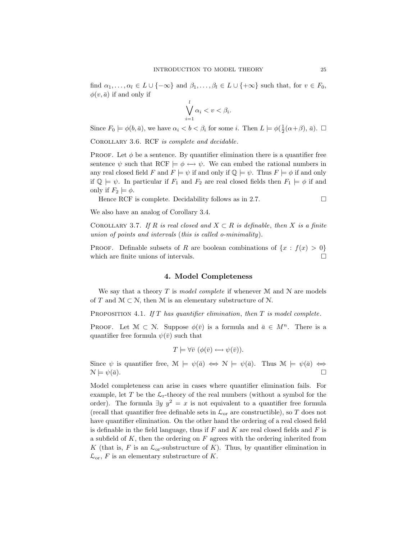find  $\alpha_1, \ldots, \alpha_l \in L \cup \{-\infty\}$  and  $\beta_1, \ldots, \beta_l \in L \cup \{+\infty\}$  such that, for  $v \in F_0$ ,  $\phi(v, \bar{a})$  if and only if

$$
\bigvee_{i=1}^{l} \alpha_i < v < \beta_i.
$$

Since  $F_0 \models \phi(b, \bar{a})$ , we have  $\alpha_i < b < \beta_i$  for some i. Then  $L \models \phi(\frac{1}{2}(\alpha+\beta), \bar{a})$ .  $\Box$ 

COROLLARY 3.6. RCF is complete and decidable.

PROOF. Let  $\phi$  be a sentence. By quantifier elimination there is a quantifier free sentence  $\psi$  such that RCF  $\models \phi \leftrightarrow \psi$ . We can embed the rational numbers in any real closed field F and  $F \models \psi$  if and only if  $\mathbb{Q} \models \psi$ . Thus  $F \models \phi$  if and only if  $\mathbb{Q} \models \psi$ . In particular if  $F_1$  and  $F_2$  are real closed fields then  $F_1 \models \phi$  if and only if  $F_2 \models \phi$ .

Hence RCF is complete. Decidability follows as in 2.7.  $\Box$ 

We also have an analog of Corollary 3.4.

COROLLARY 3.7. If R is real closed and  $X \subset R$  is definable, then X is a finite union of points and intervals (this is called o-minimality).

PROOF. Definable subsets of R are boolean combinations of  $\{x : f(x) > 0\}$ which are finite unions of intervals.

### 4. Model Completeness

We say that a theory T is model complete if whenever  $\mathcal M$  and  $\mathcal N$  are models of T and  $M \subset \mathcal{N}$ , then M is an elementary substructure of N.

PROPOSITION 4.1. If  $T$  has quantifier elimination, then  $T$  is model complete.

**PROOF.** Let  $\mathcal{M} \subset \mathcal{N}$ . Suppose  $\phi(\bar{v})$  is a formula and  $\bar{a} \in M^n$ . There is a quantifier free formula  $\psi(\bar{v})$  such that

$$
T \models \forall \bar{v} \ (\phi(\bar{v}) \longleftrightarrow \psi(\bar{v})).
$$

Since  $\psi$  is quantifier free,  $\mathcal{M} \models \psi(\bar{a}) \iff \mathcal{N} \models \psi(\bar{a})$ . Thus  $\mathcal{M} \models \psi(\bar{a}) \iff$  $\mathcal{N} \models \psi(\bar{a}).$ 

Model completeness can arise in cases where quantifier elimination fails. For example, let T be the  $\mathcal{L}_r$ -theory of the real numbers (without a symbol for the order). The formula  $\exists y \, y^2 = x$  is not equivalent to a quantifier free formula (recall that quantifier free definable sets in  $\mathcal{L}_{\text{or}}$  are constructible), so T does not have quantifier elimination. On the other hand the ordering of a real closed field is definable in the field language, thus if  $F$  and  $K$  are real closed fields and  $F$  is a subfield of  $K$ , then the ordering on  $F$  agrees with the ordering inherited from K (that is, F is an  $\mathcal{L}_{or}$ -substructure of K). Thus, by quantifier elimination in  $\mathcal{L}_{\text{or}}$ , F is an elementary substructure of K.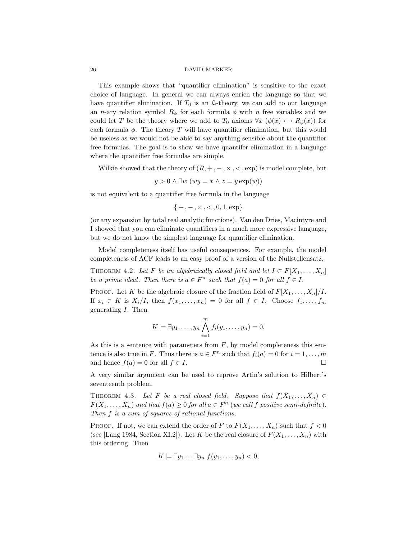This example shows that "quantifier elimination" is sensitive to the exact choice of language. In general we can always enrich the language so that we have quantifier elimination. If  $T_0$  is an  $\mathcal{L}\text{-theory}$ , we can add to our language an *n*-ary relation symbol  $R_{\phi}$  for each formula  $\phi$  with *n* free variables and we could let T be the theory where we add to  $T_0$  axioms  $\forall \bar{x} \ (\phi(\bar{x}) \leftrightarrow R_{\phi}(\bar{x}))$  for each formula  $\phi$ . The theory T will have quantifier elimination, but this would be useless as we would not be able to say anything sensible about the quantifier free formulas. The goal is to show we have quantifer elimination in a language where the quantifier free formulas are simple.

Wilkie showed that the theory of  $(R, +, -, \times, <, exp)$  is model complete, but

$$
y > 0 \land \exists w \ (wy = x \land z = y \exp(w))
$$

is not equivalent to a quantifier free formula in the language

 ${+, -, \times, <, 0, 1, exp}$ 

(or any expansion by total real analytic functions). Van den Dries, Macintyre and I showed that you can eliminate quantifiers in a much more expressive language, but we do not know the simplest language for quantifier elimination.

Model completeness itself has useful consequences. For example, the model completeness of ACF leads to an easy proof of a version of the Nullstellensatz.

THEOREM 4.2. Let F be an algebraically closed field and let  $I \subset F[X_1, \ldots, X_n]$ be a prime ideal. Then there is  $a \in F^n$  such that  $f(a) = 0$  for all  $f \in I$ .

PROOF. Let K be the algebraic closure of the fraction field of  $F[X_1, \ldots, X_n]/I$ . If  $x_i \in K$  is  $X_i/I$ , then  $f(x_1, \ldots, x_n) = 0$  for all  $f \in I$ . Choose  $f_1, \ldots, f_m$ generating I. Then

$$
K \models \exists y_1, \ldots, y_n \bigwedge_{i=1}^m f_i(y_1, \ldots, y_n) = 0.
$$

As this is a sentence with parameters from  $F$ , by model completeness this sentence is also true in F. Thus there is  $a \in F^n$  such that  $f_i(a) = 0$  for  $i = 1, \ldots, m$ and hence  $f(a) = 0$  for all  $f \in I$ .

A very similar argument can be used to reprove Artin's solution to Hilbert's seventeenth problem.

THEOREM 4.3. Let F be a real closed field. Suppose that  $f(X_1, \ldots, X_n) \in$  $F(X_1, \ldots, X_n)$  and that  $f(a) \geq 0$  for all  $a \in F^n$  (we call f positive semi-definite). Then f is a sum of squares of rational functions.

**PROOF.** If not, we can extend the order of F to  $F(X_1, \ldots, X_n)$  such that  $f < 0$ (see [Lang 1984, Section XI.2]). Let K be the real closure of  $F(X_1, \ldots, X_n)$  with this ordering. Then

$$
K \models \exists y_1 \ldots \exists y_n \ f(y_1, \ldots, y_n) < 0,
$$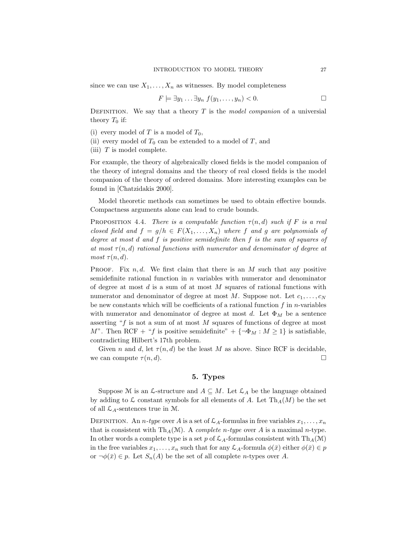since we can use  $X_1, \ldots, X_n$  as witnesses. By model completeness

$$
F \models \exists y_1 \ldots \exists y_n \ f(y_1, \ldots, y_n) < 0. \Box
$$

DEFINITION. We say that a theory  $T$  is the model companion of a universial theory  $T_0$  if:

- (i) every model of T is a model of  $T_0$ ,
- (ii) every model of  $T_0$  can be extended to a model of  $T$ , and
- (iii)  $T$  is model complete.

For example, the theory of algebraically closed fields is the model companion of the theory of integral domains and the theory of real closed fields is the model companion of the theory of ordered domains. More interesting examples can be found in [Chatzidakis 2000].

Model theoretic methods can sometimes be used to obtain effective bounds. Compactness arguments alone can lead to crude bounds.

PROPOSITION 4.4. There is a computable function  $\tau(n,d)$  such if F is a real closed field and  $f = g/h \in F(X_1, \ldots, X_n)$  where f and g are polynomials of degree at most d and f is positive semidefinite then f is the sum of squares of at most  $\tau(n,d)$  rational functions with numerator and denominator of degree at most  $\tau(n,d)$ .

PROOF. Fix  $n, d$ . We first claim that there is an  $M$  such that any positive semidefinite rational function in  $n$  variables with numerator and denominator of degree at most  $d$  is a sum of at most  $M$  squares of rational functions with numerator and denominator of degree at most M. Suppose not. Let  $c_1, \ldots, c_N$ be new constants which will be coefficients of a rational function  $f$  in *n*-variables with numerator and denominator of degree at most d. Let  $\Phi_M$  be a sentence asserting " $f$  is not a sum of at most  $M$  squares of functions of degree at most M". Then RCF + "f is positive semidefinite" +  $\{\neg \Phi_M : M \ge 1\}$  is satisfiable, contradicting Hilbert's 17th problem.

Given n and d, let  $\tau(n, d)$  be the least M as above. Since RCF is decidable, we can compute  $\tau(n, d)$ .

# 5. Types

Suppose M is an  $\mathcal{L}\text{-structure}$  and  $A \subseteq M$ . Let  $\mathcal{L}_A$  be the language obtained by adding to  $\mathcal L$  constant symbols for all elements of A. Let  $\text{Th}_A(M)$  be the set of all  $\mathcal{L}_A$ -sentences true in M.

DEFINITION. An *n*-type over A is a set of  $\mathcal{L}_A$ -formulas in free variables  $x_1, \ldots, x_n$ that is consistent with Th<sub>A</sub>(M). A *complete n-type* over A is a maximal n-type. In other words a complete type is a set p of  $\mathcal{L}_A$ -formulas consistent with Th<sub>A</sub>(M) in the free variables  $x_1, \ldots, x_n$  such that for any  $\mathcal{L}_A$ -formula  $\phi(\bar{x})$  either  $\phi(\bar{x}) \in p$ or  $\neg \phi(\bar{x}) \in p$ . Let  $S_n(A)$  be the set of all complete *n*-types over A.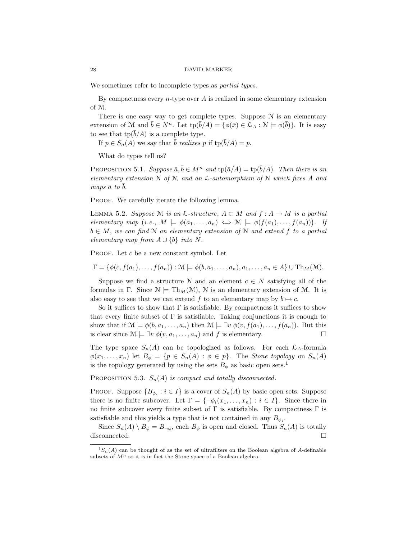We sometimes refer to incomplete types as *partial types*.

By compactness every *n*-type over A is realized in some elementary extension of M.

There is one easy way to get complete types. Suppose  $N$  is an elementary extension of M and  $\bar{b} \in N^n$ . Let  $\text{tp}(\bar{b}/A) = \{ \phi(\bar{x}) \in \mathcal{L}_A : \mathcal{N} \models \phi(\bar{b}) \}$ . It is easy to see that  $tp(\bar{b}/A)$  is a complete type.

If  $p \in S_n(A)$  we say that  $\bar{b}$  realizes p if  $tp(\bar{b}/A) = p$ .

What do types tell us?

PROPOSITION 5.1. Suppose  $\bar{a}, \bar{b} \in M^n$  and  $\text{tp}(\bar{a}/A) = \text{tp}(\bar{b}/A)$ . Then there is an elementary extension  $N$  of  $M$  and an  $\mathcal{L}$ -automorphism of  $N$  which fixes A and maps  $\bar{a}$  to  $\bar{b}$ .

PROOF. We carefully iterate the following lemma.

LEMMA 5.2. Suppose M is an  $\mathcal{L}\text{-}structure, A \subset M$  and  $f : A \to M$  is a partial elementary map  $(i.e., M \models \phi(a_1, \ldots, a_n) \iff M \models \phi(f(a_1), \ldots, f(a_n)))$ . If  $b \in M$ , we can find N an elementary extension of N and extend f to a partial elementary map from  $A \cup \{b\}$  into N.

PROOF. Let c be a new constant symbol. Let

 $\Gamma = \{\phi(c, f(a_1), \ldots, f(a_n)) : \mathcal{M} \models \phi(b, a_1, \ldots, a_n), a_1, \ldots, a_n \in A\} \cup \text{Th}_M(\mathcal{M}).$ 

Suppose we find a structure N and an element  $c \in N$  satisfying all of the formulas in Γ. Since  $\mathcal{N} \models \text{Th}_{M}(\mathcal{M})$ ,  $\mathcal{N}$  is an elementary extension of M. It is also easy to see that we can extend f to an elementary map by  $b \mapsto c$ .

So it suffices to show that  $\Gamma$  is satisfiable. By compactness it suffices to show that every finite subset of  $\Gamma$  is satisfiable. Taking conjunctions it is enough to show that if  $\mathcal{M} \models \phi(b, a_1, \ldots, a_n)$  then  $\mathcal{M} \models \exists v \; \phi(v, f(a_1), \ldots, f(a_n))$ . But this is clear since  $\mathcal{M} \models \exists v \phi(v, a_1, \dots, a_n)$  and f is elementary.

The type space  $S_n(A)$  can be topologized as follows. For each  $\mathcal{L}_A$ -formula  $\phi(x_1,\ldots,x_n)$  let  $B_{\phi} = \{p \in S_n(A) : \phi \in p\}$ . The *Stone topology* on  $S_n(A)$ is the topology generated by using the sets  $B_{\phi}$  as basic open sets.<sup>1</sup>

PROPOSITION 5.3.  $S_n(A)$  is compact and totally disconnected.

**PROOF.** Suppose  ${B_{\phi_i} : i \in I}$  is a cover of  $S_n(A)$  by basic open sets. Suppose there is no finite subcover. Let  $\Gamma = \{\neg \phi_i(x_1, \ldots, x_n) : i \in I\}$ . Since there in no finite subcover every finite subset of  $\Gamma$  is satisfiable. By compactness  $\Gamma$  is satisfiable and this yields a type that is not contained in any  $B_{\phi_i}$ .

Since  $S_n(A) \setminus B_\phi = B_{\neg \phi}$ , each  $B_\phi$  is open and closed. Thus  $S_n(A)$  is totally disconnected.  $\square$ 

 ${}^{1}S_{n}(A)$  can be thought of as the set of ultrafilters on the Boolean algebra of A-definable subsets of  $M^n$  so it is in fact the Stone space of a Boolean algebra.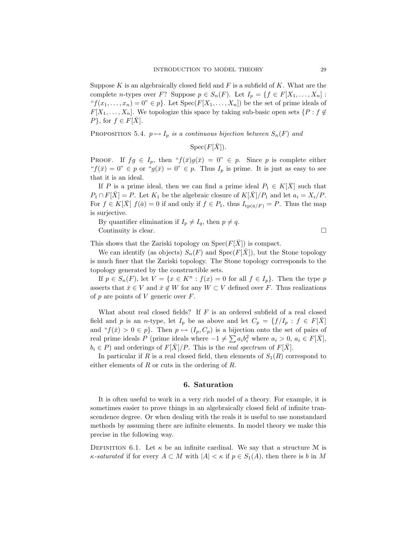Suppose  $K$  is an algebraically closed field and  $F$  is a subfield of  $K$ . What are the complete *n*-types over F? Suppose  $p \in S_n(F)$ . Let  $I_p = \{f \in F[X_1, \ldots, X_n]$ : " $f(x_1, \ldots, x_n) = 0$ "  $\in$  p}. Let  $Spec(F[X_1, \ldots, X_n])$  be the set of prime ideals of  $F[X_1, \ldots, X_n]$ . We topologize this space by taking sub-basic open sets  $\{P : f \notin$  $P$ , for  $f \in F[X]$ .

PROPOSITION 5.4.  $p \mapsto I_p$  is a continuous bijection between  $S_n(F)$  and

 $Spec(F[\bar{X}]).$ 

**PROOF.** If  $fg \in I_p$ , then " $f(\bar{x})g(\bar{x}) = 0$ "  $\in p$ . Since p is complete either " $f(\bar{x}) = 0$ "  $\in p$  or " $g(\bar{x}) = 0$ "  $\in p$ . Thus  $I_p$  is prime. It is just as easy to see that it is an ideal.

If P is a prime ideal, then we can find a prime ideal  $P_1 \in K[X]$  such that  $P_1 \cap F[\bar{X}] = P$ . Let  $K_1$  be the algebraic closure of  $K[\bar{X}]/P_1$  and let  $a_i = X_i/P$ . For  $f \in K[\overline{X}]$   $f(\overline{a}) = 0$  if and only if  $f \in P_1$ , thus  $I_{tp(\overline{a}/F)} = P$ . Thus the map is surjective.

By quantifier elimination if  $I_p \neq I_q$ , then  $p \neq q$ . Continuity is clear.

This shows that the Zariski topology on  $Spec(F[\overline{X}])$  is compact.

We can identify (as objects)  $S_n(F)$  and  $Spec(F[X])$ , but the Stone topology is much finer that the Zariski topology. The Stone topology corresponds to the topology generated by the constructible sets.

If  $p \in S_n(F)$ , let  $V = \{x \in K^n : f(x) = 0 \text{ for all } f \in I_p\}$ . Then the type p asserts that  $\bar{x} \in V$  and  $\bar{x} \notin W$  for any  $W \subset V$  defined over F. Thus realizations of  $p$  are points of  $V$  generic over  $F$ .

What about real closed fields? If  $F$  is an ordered subfield of a real closed field and p is an n-type, let  $I_p$  be as above and let  $C_p = \{f/I_p : f \in F[\overline{X}]\}$ and " $f(\bar{x}) > 0 \in p$ . Then  $p \mapsto (I_p, C_p)$  is a bijection onto the set of pairs of real prime ideals P (prime ideals where  $-1 \neq \sum a_i b_i^2$  where  $a_i > 0$ ,  $a_i \in F[\bar{X}]$ ,  $b_i \in P$ ) and orderings of  $F[X]/P$ . This is the *real spectrum* of  $F[X]$ .

In particular if R is a real closed field, then elements of  $S_1(R)$  correspond to either elements of R or cuts in the ordering of R.

### 6. Saturation

It is often useful to work in a very rich model of a theory. For example, it is sometimes easier to prove things in an algebraically closed field of infinite transcendence degree. Or when dealing with the reals it is useful to use nonstandard methods by assuming there are infinite elements. In model theory we make this precise in the following way.

DEFINITION 6.1. Let  $\kappa$  be an infinite cardinal. We say that a structure M is  $\kappa$ -saturated if for every  $A \subset M$  with  $|A| < \kappa$  if  $p \in S_1(A)$ , then there is b in M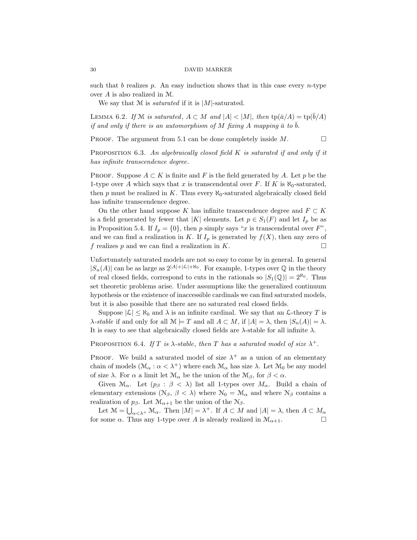such that b realizes p. An easy induction shows that in this case every  $n$ -type over A is also realized in M.

We say that  $M$  is *saturated* if it is  $|M|$ -saturated.

LEMMA 6.2. If M is saturated,  $A \subset M$  and  $|A| < |M|$ , then  $\text{tp}(\bar{a}/A) = \text{tp}(b/A)$ if and only if there is an automorphism of M fixing A mapping  $\bar{a}$  to  $\bar{b}$ .

**PROOF.** The argument from 5.1 can be done completely inside  $M$ .

PROPOSITION 6.3. An algebraically closed field  $K$  is saturated if and only if it has infinite transcendence degree.

PROOF. Suppose  $A \subset K$  is finite and F is the field generated by A. Let p be the 1-type over A which says that x is transcendental over F. If K is  $\aleph_0$ -saturated, then p must be realized in K. Thus every  $\aleph_0$ -saturated algebraically closed field has infinite transcendence degree.

On the other hand suppose K has infinite transcendence degree and  $F \subset K$ is a field generated by fewer that |K| elements. Let  $p \in S_1(F)$  and let  $I_p$  be as in Proposition 5.4. If  $I_p = \{0\}$ , then p simply says "x is transcendental over F", and we can find a realization in K. If  $I_p$  is generated by  $f(X)$ , then any zero of f realizes p and we can find a realization in K.

Unfortunately saturated models are not so easy to come by in general. In general  $|S_n(A)|$  can be as large as  $2^{|A|+|\mathcal{L}|+ \aleph_0}$ . For example, 1-types over  $\mathbb Q$  in the theory of real closed fields, correspond to cuts in the rationals so  $|S_1(\mathbb{Q})| = 2^{\aleph_0}$ . Thus set theoretic problems arise. Under assumptions like the generalized continuum hypothesis or the existence of inaccessible cardinals we can find saturated models, but it is also possible that there are no saturated real closed fields.

Suppose  $|\mathcal{L}| \leq \aleph_0$  and  $\lambda$  is an infinite cardinal. We say that an  $\mathcal{L}\text{-theory }T$  is  $\lambda$ -stable if and only for all  $\mathcal{M} \models T$  and all  $A \subset M$ , if  $|A| = \lambda$ , then  $|S_n(A)| = \lambda$ . It is easy to see that algebraically closed fields are  $\lambda$ -stable for all infinite  $\lambda$ .

# PROPOSITION 6.4. If T is  $\lambda$ -stable, then T has a saturated model of size  $\lambda^+$ .

PROOF. We build a saturated model of size  $\lambda^+$  as a union of an elementary chain of models  $(\mathcal{M}_{\alpha} : \alpha < \lambda^+)$  where each  $\mathcal{M}_{\alpha}$  has size  $\lambda$ . Let  $\mathcal{M}_{0}$  be any model of size  $\lambda$ . For  $\alpha$  a limit let  $\mathcal{M}_{\alpha}$  be the union of the  $\mathcal{M}_{\beta}$ , for  $\beta < \alpha$ .

Given  $\mathcal{M}_{\alpha}$ . Let  $(p_{\beta} : \beta < \lambda)$  list all 1-types over  $M_{\alpha}$ . Build a chain of elementary extensions ( $\mathcal{N}_{\beta}$ ,  $\beta < \lambda$ ) where  $\mathcal{N}_{0} = \mathcal{M}_{\alpha}$  and where  $\mathcal{N}_{\beta}$  contains a realization of  $p_\beta$ . Let  $\mathcal{M}_{\alpha+1}$  be the union of the  $\mathcal{N}_\beta$ .

Let  $\mathcal{M} = \bigcup_{\alpha < \lambda^+} \mathcal{M}_{\alpha}$ . Then  $|M| = \lambda^+$ . If  $A \subset M$  and  $|A| = \lambda$ , then  $A \subset M_{\alpha}$ for some  $\alpha$ . Thus any 1-type over A is already realized in  $\mathcal{M}_{\alpha+1}$ .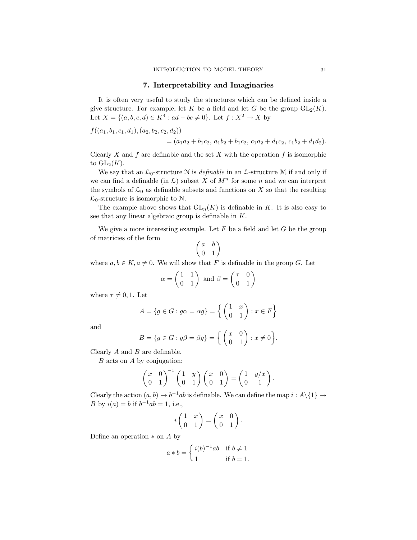## 7. Interpretability and Imaginaries

It is often very useful to study the structures which can be defined inside a give structure. For example, let K be a field and let G be the group  $GL_2(K)$ . Let  $X = \{(a, b, c, d) \in K^4 : ad - bc \neq 0\}$ . Let  $f : X^2 \to X$  by

 $f((a_1, b_1, c_1, d_1), (a_2, b_2, c_2, d_2))$ 

$$
= (a_1a_2 + b_1c_2, a_1b_2 + b_1c_2, c_1a_2 + d_1c_2, c_1b_2 + d_1d_2).
$$

Clearly X and f are definable and the set X with the operation f is isomorphic to  $GL_2(K)$ .

We say that an  $\mathcal{L}_0$ -structure N is *definable* in an  $\mathcal{L}$ -structure M if and only if we can find a definable (in  $\mathcal{L}$ ) subset X of  $M^n$  for some n and we can interpret the symbols of  $\mathcal{L}_0$  as definable subsets and functions on X so that the resulting  $\mathcal{L}_0$ -structure is isomorphic to N.

The example above shows that  $GL_n(K)$  is definable in K. It is also easy to see that any linear algebraic group is definable in K.

We give a more interesting example. Let  $F$  be a field and let  $G$  be the group of matricies of the form

$$
\left(\begin{matrix} a & b \\ 0 & 1 \end{matrix}\right)
$$

where  $a, b \in K, a \neq 0$ . We will show that F is definable in the group G. Let

$$
\alpha = \begin{pmatrix} 1 & 1 \\ 0 & 1 \end{pmatrix} \text{ and } \beta = \begin{pmatrix} \tau & 0 \\ 0 & 1 \end{pmatrix}
$$

where  $\tau \neq 0, 1$ . Let

$$
A = \{ g \in G : g\alpha = \alpha g \} = \left\{ \begin{pmatrix} 1 & x \\ 0 & 1 \end{pmatrix} : x \in F \right\}
$$

and

$$
B = \{g \in G : g\beta = \beta g\} = \left\{ \begin{pmatrix} x & 0 \\ 0 & 1 \end{pmatrix} : x \neq 0 \right\}.
$$

Clearly  $A$  and  $B$  are definable.

 $B$  acts on  $A$  by conjugation:

$$
\begin{pmatrix} x & 0 \ 0 & 1 \end{pmatrix}^{-1} \begin{pmatrix} 1 & y \ 0 & 1 \end{pmatrix} \begin{pmatrix} x & 0 \ 0 & 1 \end{pmatrix} = \begin{pmatrix} 1 & y/x \ 0 & 1 \end{pmatrix}.
$$

Clearly the action  $(a, b) \mapsto b^{-1}ab$  is definable. We can define the map  $i : A \setminus \{1\} \rightarrow$ B by  $i(a) = b$  if  $b^{-1}ab = 1$ , i.e.,

$$
i\begin{pmatrix} 1 & x \\ 0 & 1 \end{pmatrix} = \begin{pmatrix} x & 0 \\ 0 & 1 \end{pmatrix}.
$$

Define an operation  $*$  on  $A$  by

$$
a * b = \begin{cases} i(b)^{-1}ab & \text{if } b \neq 1 \\ 1 & \text{if } b = 1. \end{cases}
$$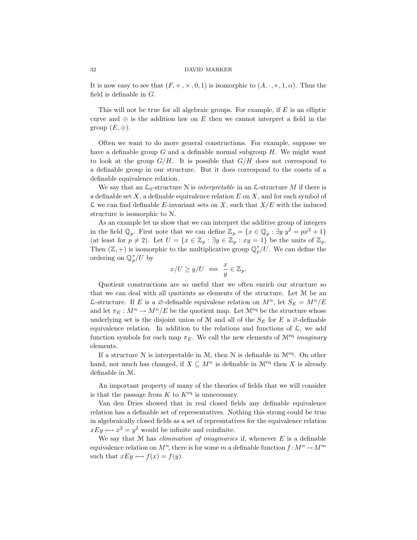It is now easy to see that  $(F, +, \times, 0, 1)$  is isomorphic to  $(A, \cdot, *, 1, \alpha)$ . Thus the field is definable in  $G$ .

This will not be true for all algebraic groups. For example, if  $E$  is an elliptic curve and  $\oplus$  is the addition law on E then we cannot interpret a field in the group  $(E, \oplus)$ .

Often we want to do more general constructions. For example, suppose we have a definable group  $G$  and a definable normal subgroup  $H$ . We might want to look at the group  $G/H$ . It is possible that  $G/H$  does not correspond to a definable group in our structure. But it does correspond to the cosets of a definable equivalence relation.

We say that an  $\mathcal{L}_0$ -structure N is *interpretable* in an  $\mathcal{L}$ -structure M if there is a definable set  $X$ , a definable equivalence relation  $E$  on  $X$ , and for each symbol of  $\mathcal L$  we can find definable E-invariant sets on X, such that  $X/E$  with the induced structure is isomorphic to N.

As an example let us show that we can interpret the additive group of integers in the field  $\mathbb{Q}_p$ . First note that we can define  $\mathbb{Z}_p = \{x \in \mathbb{Q}_p : \exists y \; y^2 = px^2 + 1\}$ (at least for  $p \neq 2$ ). Let  $U = \{x \in \mathbb{Z}_p : \exists y \in \mathbb{Z}_p : xy = 1\}$  be the units of  $\mathbb{Z}_p$ . Then  $(\mathbb{Z}, +)$  is isomorphic to the multiplicative group  $\mathbb{Q}_p^*/U$ . We can define the ordering on  $\mathbb{Q}_p^*/U$  by

$$
x/U \ge y/U \iff \frac{x}{y} \in \mathbb{Z}_p.
$$

Quotient constructions are so useful that we often enrich our structure so that we can deal with all quotients as elements of the structure. Let M be an L-structure. If E is a ∅-definable equivalene relation on  $M^n$ , let  $S_E = M^n / E$ and let  $\pi_E : M^n \to M^n/E$  be the quotient map. Let  $\mathcal{M}^{\text{eq}}$  be the structure whose underlying set is the disjoint union of M and all of the  $S_E$  for E a  $\varnothing$ -definable equivalence relation. In addition to the relations and functions of  $\mathcal{L}$ , we add function symbols for each map  $\pi_E$ . We call the new elements of  $\mathcal{M}^{eq}$  imaginary elements.

If a structure  $N$  is interpretable in  $M$ , then  $N$  is definable in  $\mathcal{M}^{eq}$ . On other hand, not much has changed, if  $X \subseteq M^n$  is definable in  $\mathcal{M}^{eq}$  then X is already definable in M.

An important property of many of the theories of fields that we will consider is that the passage from  $K$  to  $K^{\text{eq}}$  is unnecessary.

Van den Dries showed that in real closed fields any definable equivalence relation has a definable set of representatives. Nothing this strong could be true in algebraically closed fields as a set of represntatives for the equivalence relation  $xEy \leftrightarrow x^2=y^2$  would be infinite and coinfinite.

We say that  $M$  has *elimination of imaginaries* if, whenever  $E$  is a definable equivalence relation on  $M^n$ , there is for some m a definable function  $f : M^n \to M^m$ such that  $xEy \leftrightarrow f(x) = f(y)$ .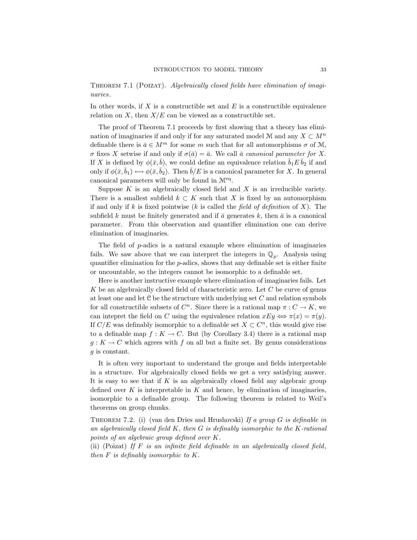THEOREM 7.1 (POIZAT). Algebraically closed fields have elimination of imaginaries.

In other words, if X is a constructible set and  $E$  is a constructible equivalence relation on  $X$ , then  $X/E$  can be viewed as a constructible set.

The proof of Theorem 7.1 proceeds by first showing that a theory has elimination of imaginaries if and only if for any saturated model M and any  $X \subset M^n$ definable there is  $\bar{a} \in M^m$  for some m such that for all automorphisms  $\sigma$  of M, σ fixes X setwise if and only if  $\sigma(\bar{a}) = \bar{a}$ . We call  $\bar{a}$  canonical parameter for X. If X is defined by  $\phi(\bar{x}, \bar{b})$ , we could define an equivalence relation  $\bar{b}_1 E \bar{b}_2$  if and only if  $\phi(\bar{x}, \bar{b}_1) \leftrightarrow \phi(\bar{x}, \bar{b}_2)$ . Then  $\bar{b}/E$  is a canonical parameter for X. In general canonical parameters will only be found in  $\mathcal{M}^{\text{eq}}$ .

Suppose  $K$  is an algebraically closed field and  $X$  is an irreducible variety. There is a smallest subfield  $k \subset K$  such that X is fixed by an automorphism if and only if k is fixed pointwise (k is called the field of definition of  $X$ ). The subfield k must be finitely generated and if  $\bar{a}$  generates k, then  $\bar{a}$  is a canonical parameter. From this observation and quantifier elimination one can derive elimination of imaginaries.

The field of p-adics is a natural example where elimination of imaginaries fails. We saw above that we can interpret the integers in  $\mathbb{Q}_p$ . Analysis using quantifier elimination for the  $p$ -adics, shows that any definable set is either finite or uncountable, so the integers cannot be isomorphic to a definable set.

Here is another instructive example where elimination of imaginaries fails. Let K be an algebraically closed field of characteristic zero. Let  $C$  be curve of genus at least one and let  $C$  be the structure with underlying set  $C$  and relation symbols for all constructible subsets of  $C<sup>n</sup>$ . Since there is a rational map  $\pi: C \to K$ , we can intepret the field on C using the equivalence relation  $xEy \Leftrightarrow \pi(x) = \pi(y)$ . If  $C/E$  was definably isomorphic to a definable set  $X \subset C<sup>n</sup>$ , this would give rise to a definable map  $f: K \to C$ . But (by Corollary 3.4) there is a rational map  $g: K \to C$  which agrees with f on all but a finite set. By genus considerations g is constant.

It is often very important to understand the groups and fields interpretable in a structure. For algebraically closed fields we get a very satisfying answer. It is easy to see that if  $K$  is an algebraically closed field any algebraic group defined over  $K$  is interpretable in  $K$  and hence, by elimination of imaginaries, isomorphic to a definable group. The following theorem is related to Weil's theorems on group chunks.

THEOREM 7.2. (i) (van den Dries and Hrushovski) If a group  $G$  is definable in an algebraically closed field  $K$ , then  $G$  is definably isomorphic to the  $K$ -rational points of an algebraic group defined over K.

(ii) (Poizat) If  $F$  is an infinite field definable in an algebraically closed field, then  $F$  is definably isomorphic to  $K$ .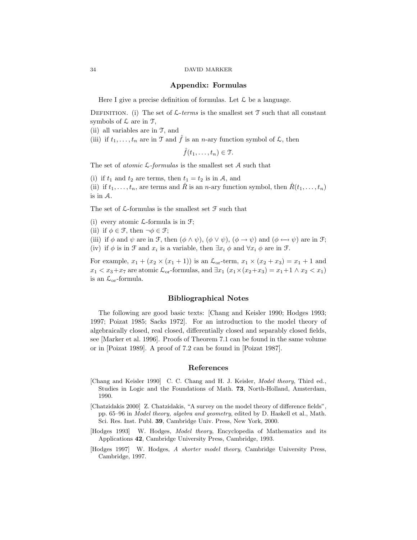### Appendix: Formulas

Here I give a precise definition of formulas. Let  $\mathcal L$  be a language.

DEFINITION. (i) The set of  $\mathcal{L}\text{-terms}$  is the smallest set  $\mathcal T$  such that all constant symbols of  $\mathcal L$  are in  $\mathcal T$ ,

(ii) all variables are in T, and

(iii) if  $t_1, \ldots, t_n$  are in T and  $\hat{f}$  is an *n*-ary function symbol of  $\mathcal{L}$ , then

 $\hat{f}(t_1,\ldots,t_n)\in\mathfrak{T}.$ 

The set of *atomic*  $\mathcal{L}$ -formulas is the smallest set  $\mathcal{A}$  such that

(i) if  $t_1$  and  $t_2$  are terms, then  $t_1 = t_2$  is in A, and

(ii) if  $t_1, \ldots, t_n$ , are terms and  $\hat{R}$  is an *n*-ary function symbol, then  $\hat{R}(t_1, \ldots, t_n)$ is in A.

The set of  $\mathcal L$ -formulas is the smallest set  $\mathcal F$  such that

(i) every atomic  $\mathcal{L}$ -formula is in  $\mathcal{F}$ ;

(ii) if  $\phi \in \mathcal{F}$ , then  $\neg \phi \in \mathcal{F}$ ;

(iii) if  $\phi$  and  $\psi$  are in F, then  $(\phi \land \psi)$ ,  $(\phi \lor \psi)$ ,  $(\phi \rightarrow \psi)$  and  $(\phi \leftrightarrow \psi)$  are in F; (iv) if  $\phi$  is in F and  $x_i$  is a variable, then  $\exists x_i \phi$  and  $\forall x_i \phi$  are in F.

For example,  $x_1 + (x_2 \times (x_1 + 1))$  is an  $\mathcal{L}_{or}$ -term,  $x_1 \times (x_2 + x_3) = x_1 + 1$  and  $x_1 < x_3+x_7$  are atomic  $\mathcal{L}_{\text{or}}$ -formulas, and  $\exists x_1 (x_1 \times (x_2+x_3) = x_1+1 \land x_2 < x_1)$ is an  $\mathcal{L}_{\text{or}}$ -formula.

## Bibliographical Notes

The following are good basic texts: [Chang and Keisler 1990; Hodges 1993; 1997; Poizat 1985; Sacks 1972]. For an introduction to the model theory of algebraically closed, real closed, differentially closed and separably closed fields, see [Marker et al. 1996]. Proofs of Theorem 7.1 can be found in the same volume or in [Poizat 1989]. A proof of 7.2 can be found in [Poizat 1987].

# References

- [Chang and Keisler 1990] C. C. Chang and H. J. Keisler, Model theory, Third ed., Studies in Logic and the Foundations of Math. 73, North-Holland, Amsterdam, 1990.
- [Chatzidakis 2000] Z. Chatzidakis, "A survey on the model theory of difference fields", pp. 65–96 in Model theory, algebra and geometry, edited by D. Haskell et al., Math. Sci. Res. Inst. Publ. 39, Cambridge Univ. Press, New York, 2000.
- [Hodges 1993] W. Hodges, Model theory, Encyclopedia of Mathematics and its Applications 42, Cambridge University Press, Cambridge, 1993.
- [Hodges 1997] W. Hodges, A shorter model theory, Cambridge University Press, Cambridge, 1997.